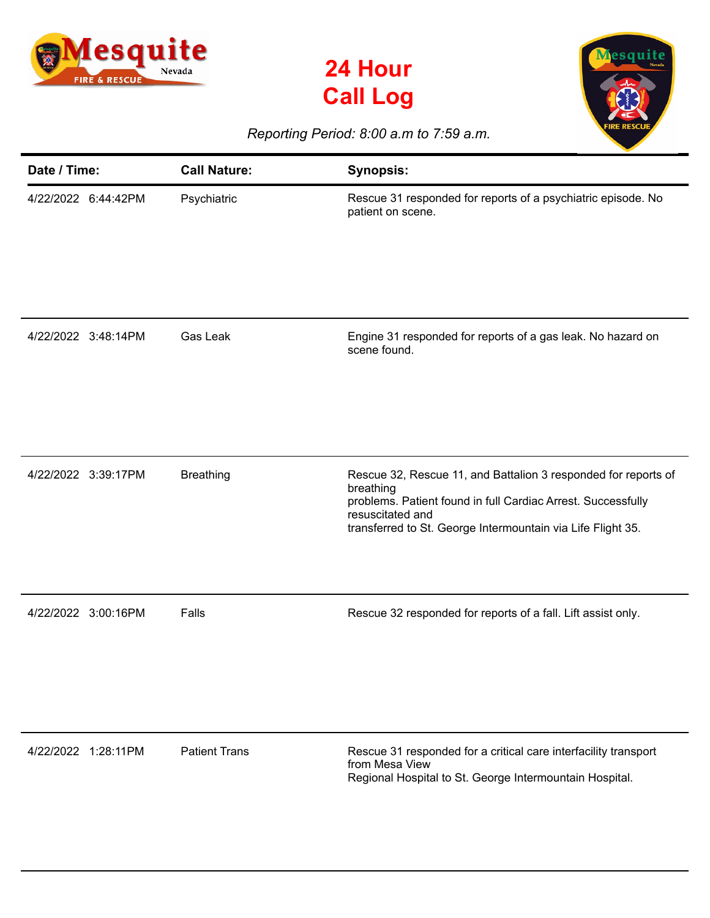





## *Reporting Period: 8:00 a.m to 7:59 a.m.*

| Date / Time:        | <b>Call Nature:</b>  | <b>Synopsis:</b>                                                                                                                                                                                                               |
|---------------------|----------------------|--------------------------------------------------------------------------------------------------------------------------------------------------------------------------------------------------------------------------------|
| 4/22/2022 6:44:42PM | Psychiatric          | Rescue 31 responded for reports of a psychiatric episode. No<br>patient on scene.                                                                                                                                              |
| 4/22/2022 3:48:14PM | Gas Leak             | Engine 31 responded for reports of a gas leak. No hazard on<br>scene found.                                                                                                                                                    |
| 4/22/2022 3:39:17PM | <b>Breathing</b>     | Rescue 32, Rescue 11, and Battalion 3 responded for reports of<br>breathing<br>problems. Patient found in full Cardiac Arrest. Successfully<br>resuscitated and<br>transferred to St. George Intermountain via Life Flight 35. |
| 4/22/2022 3:00:16PM | Falls                | Rescue 32 responded for reports of a fall. Lift assist only.                                                                                                                                                                   |
| 4/22/2022 1:28:11PM | <b>Patient Trans</b> | Rescue 31 responded for a critical care interfacility transport<br>from Mesa View<br>Regional Hospital to St. George Intermountain Hospital.                                                                                   |